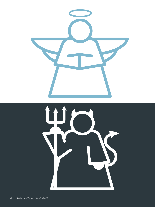

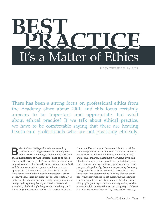# It's a Matter of Ethics

By Catherine V. Palmer

There has been a strong focus on professional ethics from the Academy since about 2001, and this focus certainly appears to be important and appropriate. But what about ethical practice? If we talk about ethical practice, we have to be comfortable saying that there are hearing health-care professionals who are not practicing ethically.

**Broad** an outstanding<br>article summarizing the recent history of pro-<br>sional ethics in audiology and providing very<br>mudalines in terms of what clinicians need to do in article summarizing the recent history of professional ethics in audiology and providing very clear guidelines in terms of what clinicians need to do in relation to conflicts of interest. There has been a strong focus on professional ethics from the Academy since about 2001, and this focus certainly appears to be important and appropriate. But what about ethical practice? I wonder if we have conveniently focused on professional ethics not only because it is important but because it actually is quite easy to talk about without implying anyone is really doing anything wrong. Most presentations start with something like "Although the gifts you are taking aren't impacting your treatment choices, the perception is that

there could be an impact." Somehow this lets us off the hook and provides us the chance to change our behavior not because we were actually doing something wrong but because others might think it was wrong. If we talk about ethical practice, we have to be comfortable saying that there are hearing health-care professionals who are not practicing ethically; there are people doing the wrong thing, and it has nothing to do with perception. There is no room for a statement like "It's okay that you aren't following best practices by not measuring the output of the hearing aid you are fitting, and it's okay that you are charging for your expertise but not using it—it's just that someone might perceive this as the wrong way to fit hearing aids." Perception is not reality here; reality is reality.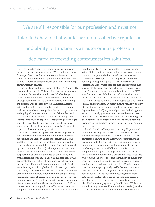We are all responsible for our profession and must not tolerate behavior that would harm our collective reputation and ability to function as an autonomous profession dedicated to providing communication solutions.

Unethical practice negatively impacts our patients and negatively impacts our profession. We are all responsible for our profession and must not tolerate behavior that would harm our collective reputation and ability to function as an autonomous profession dedicated to providing communication solutions.

The U.S. Food and Drug Administration (FDA) currently regulates hearing aids. This implies that hearing aids are considered devices that could potentially be dangerous to the consumer and that they are devices that need to be dispensed by individuals with expertise in verifying the performance of these devices. Therefore, hearing aids need to be fit by individuals knowledgeable about their features, able to manipulate the various parameters, and equipped to measure the output of these devices in the ear canal of the individual who will be using them. Practitioners must be capable of interpreting data in light of evidence related to how best to achieve the goals of a hearing aid fitting (audibility for a variety of levels of input, comfort, and sound quality).

Failure to measure implies that the hearing healthcare professional believes the manufacturer's hearing aid settings are appropriate for the individual patient and there is no need for verification. The evidence that clearly indicates this is a false assumption includes work by Hawkins and Cook (2003), who reported a clear trend for manufacturer-simulated values to overestimate the output that was actually provided by the hearing aids with differences of as much as 20 dB. Keidser et al (2003) demonstrated that different manufacturer algorithms provided significantly different amounts of gain for the same hearing loss through their first fit settings. Mueller et al (2008) showed that there were significant differences between manufacturers when it came to the prescribed maximum output of hearing aids as well. The prescribed maximum output for six hearing aids from different manufacturers resulted in differences of more than 15 dB, and the estimated output graphs varied by more than 8 dB compared to measured outputs. Underfitting leaves sound inaudible, and overfitting can potentially harm an individual. Both results are intolerable and are avoided when the actual output in the individual's ear is measured.

Mueller (1998) reported that only 34 percent of the audiologists responding to a *Hearing Journal* survey indicated that they used real-ear probe microphone measurements. Perhaps most disturbing in this survey was that 12 percent of these individuals indicated that RETZ was their measure of choice, and, of course, this is not a measurement at all (just a meaningless set of initials that Dr. Mueller added as a foil!). Mueller replicated this survey in 2005 and found similar, disappointing results with very little difference between individuals possessing varying degrees (MA vs. AuD) or years of practice. He had hypothesized that newly graduated AuDs would be using best practices since these clinicians were fortunate enough to be in doctoral-level programs where one would assume evidence-based practice formed the curriculum. This was not the case.

Bamford et al (2001) reported that only 20 percent of individuals fitting amplification to children used realear probe microphone measures. These individuals are comfortable relying on manufacturer estimations that Seewald et al (2008) showed generated substantial variation in output in a population that is unable to provide reliable reports about audibility and comfort. This is a population brought to us by parents who trust us by virtue of our membership in a profession. They trust that we are using the latest data and technology to insure that their baby hears the sounds that will be critical to speech and language development. Seewald (2008, p.26) notes that "Failure to appropriately verify the electroacoustic performance of the hearing aid in terms of predicted speech audibility and maximum hearing instrument output can result in obstructing the language benefits an infant would have otherwise received from being identified at an early age and optimally fitted." This is not something any of us would want to be accused of, yet this is exactly what the accusation would be. The individual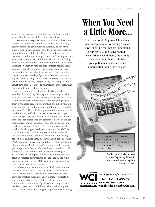who did not measure the audibility of the hearing aid would simply have no defense for that behavior.

Two common responses from individuals who do not use real-ear probe microphone measures are that they cannot afford the equipment or that they do not have time to add this measurement to their hearing aid fitting appointments. Inability to afford required equipment is not an excuse for unethical practice. Until the appropriate equipment is obtained, individuals should not be fitting hearing aids. Inadequate time does not make sense, since verification through real-ear probe microphone measures is much more efficient and less time-consuming than questioning patients about the loudness of a sound that they cannot accurately judge, since they are new hearing aid users or using unreliable word recognition testing (Thornton and Raffin, 1978) to verify the fitting. If there is not time for real-ear probe microphone measures, then there is not time to fit hearing aids.

Audiology practice guidelines clearly state the standard for verifying the output of a hearing aid. The Academy's *Guidelines for the Audiologic Management of Adult Hearing Impairment* states that "Prescribed gain (output) from a validated prescriptive method should be verified using a probe microphone approach that is referenced to ear canal SPL." The guideline goes on to indicate that this can be "simulated" with the use of real-ear-to-coupler difference (RECD), which consists of a probe microphone measure that establishes the difference between the coupler and real ear so the actual response in the ear canal can be accurately estimated. This is the recommended method for fitting pediatric patients since the RECD is a quick measure that does not require the child to sit still for an extended period of time while fine-tuning takes place. The Academy's *Pediatric Amplification Protocol*  (2003) supports this recommendation by stating, "Output characteristics should be verified using a probe-microphone approach that is referenced to ear canal SPL.… If probe-microphone measures of real-ear hearing aid performance are not possible, hearing aid performance can be predicted accurately in the real ear by applying age appropriate average RECD values to measured 2-cc coupler electroacoustic results."

Are best practices a matter of ethics? The Academy and American Speech-Language-Hearing Association (ASHA) codes of ethics make it clear that failure to follow best-practice guidelines is a violation. Principle 2 of the Academy *Code of Ethics* states that "Members shall maintain high standards of professional competence in rendering services.… Individuals shall maintain professional competence, including participation in continuing

# **When You Need a Little More...**

The remarkable Captioned Telephone shows captions of everything a caller says, ensuring that people understand every word of the conversation – even if they have difficulty hearing it. It's the perfect phone to bolster your patients' confidence when amplification alone isn't enough.

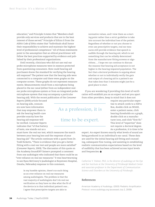education," and Principle 4 states that "Members shall provide only services and products that are in the best interest of those served." Principle of Ethics II from the ASHA *Code of Ethics* states that "Individuals shall honor their responsibility to achieve and maintain the highest level of professional competence." All of these statements point to the assumption that an ethical practitioner will follow the best practices supported by evidence and published by their professional organizations.

Until recently, clinicians who did not use real-ear probe microphone measures were in essence protected from questioning consumers. How could hearing aid purchasers know the standard for verifying the hearing aid response? The patient saw that the hearing aids were connected to a computer and there were graphs on the computer screen. These graphs do not represent measurements. Measurements result from a microphone being placed in the ear canal (either from an independent realear probe microphone system or from an integrated probe microphone system that may accompany a particular hearing aid). With the recent publication of the *Consumer* 

*Reports* (2009) article focused on hearing aids, consumers now have information that may empower them to ask the hearing health-care provider exactly how the hearing aid response will be verified. *Consumer Reports* indicates that "of that battery of tests, one stands out as a

must-have: the real ear test, which measures the match between your hearing loss and the response of your hearing aid." The article continues with a quote from Dr. Todd Ricketts, "There is evidence that you get a better fitting with a real-ear test and people are more satisfied" (*Consumer Reports*, 2009). The discussion of this quote on the Academy SoundOFF listserv prompted a comment from one audiologist who indicated that there could be an "over-reliance on real ear measures." It was heartwarming to see Ryan McCreery's (audiologist at Boystown Hospital, Omaha, Nebraska) response to this comment,

> In my humble opinion, there's no such thing as an over-reliance on real ear measures among audiologists. The problem is that the vast majority of audiologists don't do real ear verification so they have no idea what the fit of the device is in that individual patient's ear… I agree that prescriptive targets are akin to

normative values, and I view them as a starting point rather than a strict guideline to take into account the individual loss of the patient. Regardless of whether or not you choose to even use prescriptive targets, real ear measures still provide evidence that speech is audible through the hearing aid, which is not something that can be reliably determined from the manufacturer fitting screens or algorithms…. I hope we can continue to discuss the reasons that hearing aid acceptance is not higher in the hearing-impaired population. The fact that a doctoral profession is arguing about whether or not to individually verify the gain and output of a hearing aid in a patient's ear that takes less than 5 minutes might just be a good place to start.

If you are wondering if providing this level of verification will establish you as an expert and set you apart from other providers, keep in mind that it does not

# As a profession, it is time to be expert.

require any particular expertise to attach cords to a HiPro Box, double click on NOAH, enter a patient name, click hearing thresholds on a graph, double click on a manufacturer icon, and click "first fit." This level of "expertise" does not require a doctoral degree. As a profession, it is time to be

expert. An expert knows exactly what levels of sound are being produced in an individual's ear canal. These data are used for the initial hearing aid fitting and counseling, subsequent fine-tuning, and assisting in establishing realistic communication expectations based on the level of audibility that has been achieved across input levels and frequencies.

*Catherine V. Palmer, PhD, is the director of audiology at the Eye and Ear Institute at the University of Pittsburgh Medical Center and associate professor in the Department of Communication Science and Disorders at the University of Pittsburgh.*

### **References**

American Academy of Audiology. (2003) Pediatric Amplification Protocol. www.audiology.org (accessed July 2, 2009).